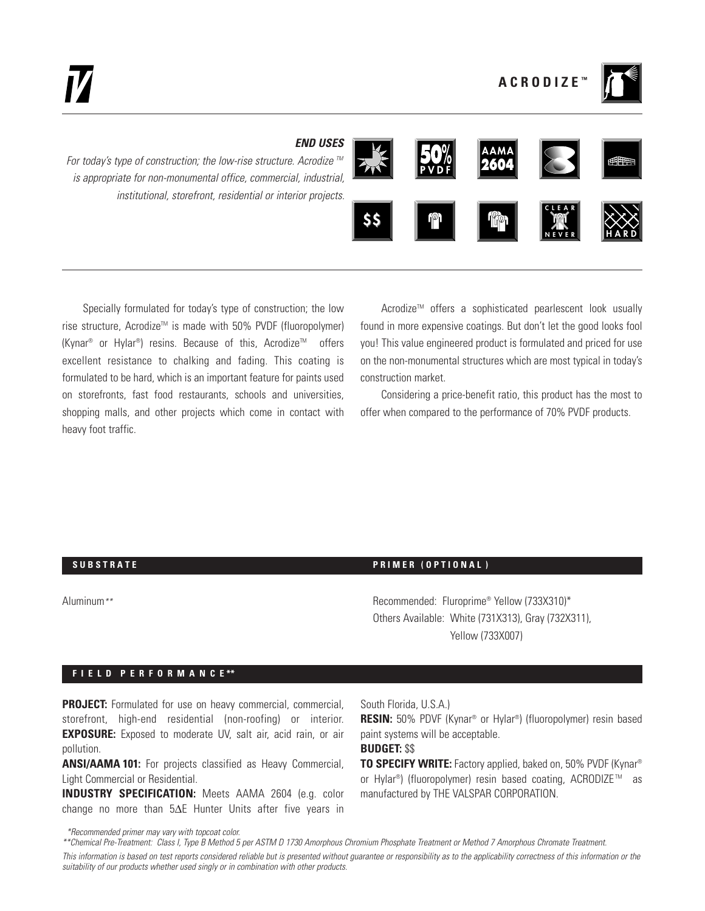

## *END USES*

*For today's type of construction; the low-rise structure. Acrodize* <sup>™</sup> *is appropriate for non-monumental office, commercial, industrial, institutional, storefront, residential or interior projects.*



Specially formulated for today's type of construction; the low rise structure, Acrodize<sup>™</sup> is made with 50% PVDF (fluoropolymer)  $(Kynar^{\circledast}$  or Hylar<sup>®</sup>) resins. Because of this, Acrodize<sup>™</sup> offers excellent resistance to chalking and fading. This coating is formulated to be hard, which is an important feature for paints used on storefronts, fast food restaurants, schools and universities, shopping malls, and other projects which come in contact with heavy foot traffic.

Acrodize<sup>™</sup> offers a sophisticated pearlescent look usually found in more expensive coatings. But don't let the good looks fool you! This value engineered product is formulated and priced for use on the non-monumental structures which are most typical in today's construction market.

Considering a price-benefit ratio, this product has the most to offer when compared to the performance of 70% PVDF products.

#### **SUBSTRATE Example 20 and 20 and 20 and 20 and 20 and 20 and 20 and 20 and 20 and 20 and 20 and 20 and 20 and 20 and 20 and 20 and 20 and 20 and 20 and 20 and 20 and 20 and 20 and 20 and 20 and 20 and 20 and 20 and 20 an**

Aluminum*\*\** Recommended: Fluroprime® Yellow (733X310)\* Others Available: White (731X313), Gray (732X311), Yellow (733X007)

### **F I E L D P E R F O R M A N C E \*\***

**PROJECT:** Formulated for use on heavy commercial, commercial, storefront, high-end residential (non-roofing) or interior. **EXPOSURE:** Exposed to moderate UV, salt air, acid rain, or air pollution.

**ANSI/AAMA 101:** For projects classified as Heavy Commercial, Light Commercial or Residential.

**INDUSTRY SPECIFICATION:** Meets AAMA 2604 (e.g. color change no more than 5∆E Hunter Units after five years in

*\*Recommended primer may vary with topcoat color.*

South Florida, U.S.A.)

**RESIN:** 50% PDVF (Kynar® or Hylar®) (fluoropolymer) resin based paint systems will be acceptable.

## **BUDGET:** \$\$

**TO SPECIFY WRITE:** Factory applied, baked on, 50% PVDF (Kynar® or Hylar<sup>®</sup>) (fluoropolymer) resin based coating, ACRODIZE<sup>™</sup> as manufactured by THE VALSPAR CORPORATION.

*\*\*Chemical Pre-Treatment: Class I, Type B Method 5 per ASTM D 1730 Amorphous Chromium Phosphate Treatment or Method 7 Amorphous Chromate Treatment. This information is based on test reports considered reliable but is presented without guarantee or responsibility as to the applicability correctness of this information or the suitability of our products whether used singly or in combination with other products.*